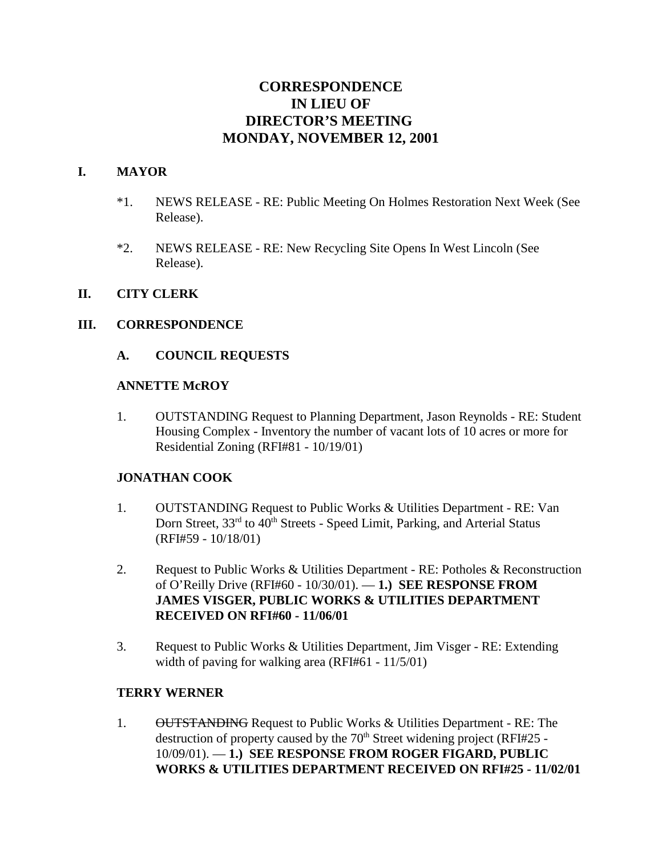# **CORRESPONDENCE IN LIEU OF DIRECTOR'S MEETING MONDAY, NOVEMBER 12, 2001**

#### **I. MAYOR**

- \*1. NEWS RELEASE RE: Public Meeting On Holmes Restoration Next Week (See Release).
- \*2. NEWS RELEASE RE: New Recycling Site Opens In West Lincoln (See Release).

#### **II. CITY CLERK**

#### **III. CORRESPONDENCE**

#### **A. COUNCIL REQUESTS**

#### **ANNETTE McROY**

1. OUTSTANDING Request to Planning Department, Jason Reynolds - RE: Student Housing Complex - Inventory the number of vacant lots of 10 acres or more for Residential Zoning (RFI#81 - 10/19/01)

#### **JONATHAN COOK**

- 1. OUTSTANDING Request to Public Works & Utilities Department RE: Van Dorn Street, 33<sup>rd</sup> to 40<sup>th</sup> Streets - Speed Limit, Parking, and Arterial Status (RFI#59 - 10/18/01)
- 2. Request to Public Works & Utilities Department RE: Potholes & Reconstruction of O'Reilly Drive (RFI#60 - 10/30/01). — **1.) SEE RESPONSE FROM JAMES VISGER, PUBLIC WORKS & UTILITIES DEPARTMENT RECEIVED ON RFI#60 - 11/06/01**
- 3. Request to Public Works & Utilities Department, Jim Visger RE: Extending width of paving for walking area (RFI#61 - 11/5/01)

#### **TERRY WERNER**

1. OUTSTANDING Request to Public Works & Utilities Department - RE: The destruction of property caused by the  $70<sup>th</sup>$  Street widening project (RFI#25 -10/09/01). — **1.) SEE RESPONSE FROM ROGER FIGARD, PUBLIC WORKS & UTILITIES DEPARTMENT RECEIVED ON RFI#25 - 11/02/01**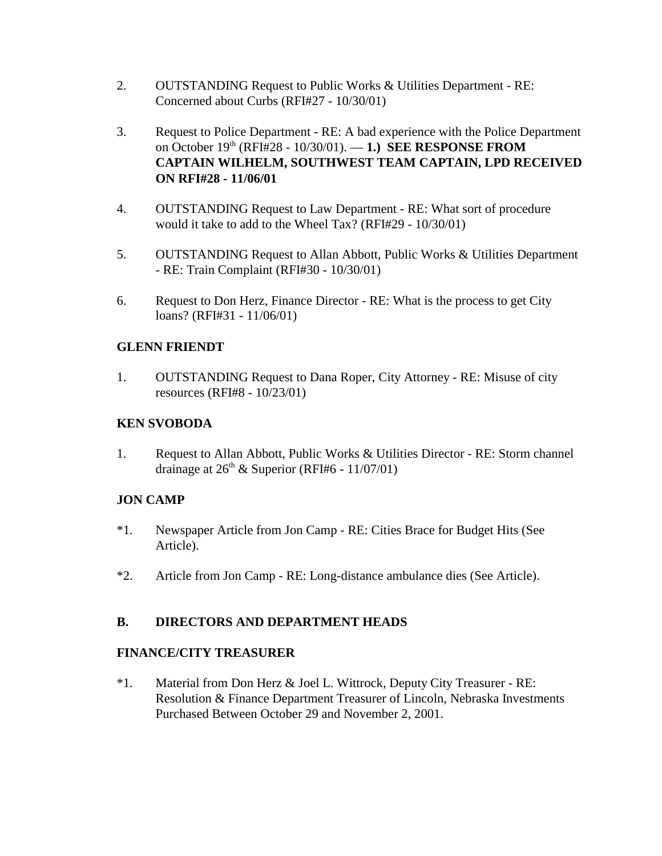- 2. OUTSTANDING Request to Public Works & Utilities Department RE: Concerned about Curbs (RFI#27 - 10/30/01)
- 3. Request to Police Department RE: A bad experience with the Police Department on October 19th (RFI#28 - 10/30/01). — **1.) SEE RESPONSE FROM CAPTAIN WILHELM, SOUTHWEST TEAM CAPTAIN, LPD RECEIVED ON RFI#28 - 11/06/01**
- 4. OUTSTANDING Request to Law Department RE: What sort of procedure would it take to add to the Wheel Tax? (RFI#29 - 10/30/01)
- 5. OUTSTANDING Request to Allan Abbott, Public Works & Utilities Department - RE: Train Complaint (RFI#30 - 10/30/01)
- 6. Request to Don Herz, Finance Director RE: What is the process to get City loans? (RFI#31 - 11/06/01)

## **GLENN FRIENDT**

1. OUTSTANDING Request to Dana Roper, City Attorney - RE: Misuse of city resources (RFI#8 - 10/23/01)

## **KEN SVOBODA**

1. Request to Allan Abbott, Public Works & Utilities Director - RE: Storm channel drainage at 26th & Superior (RFI#6 - 11/07/01)

## **JON CAMP**

- \*1. Newspaper Article from Jon Camp RE: Cities Brace for Budget Hits (See Article).
- \*2. Article from Jon Camp RE: Long-distance ambulance dies (See Article).

## **B. DIRECTORS AND DEPARTMENT HEADS**

## **FINANCE/CITY TREASURER**

\*1. Material from Don Herz & Joel L. Wittrock, Deputy City Treasurer - RE: Resolution & Finance Department Treasurer of Lincoln, Nebraska Investments Purchased Between October 29 and November 2, 2001.